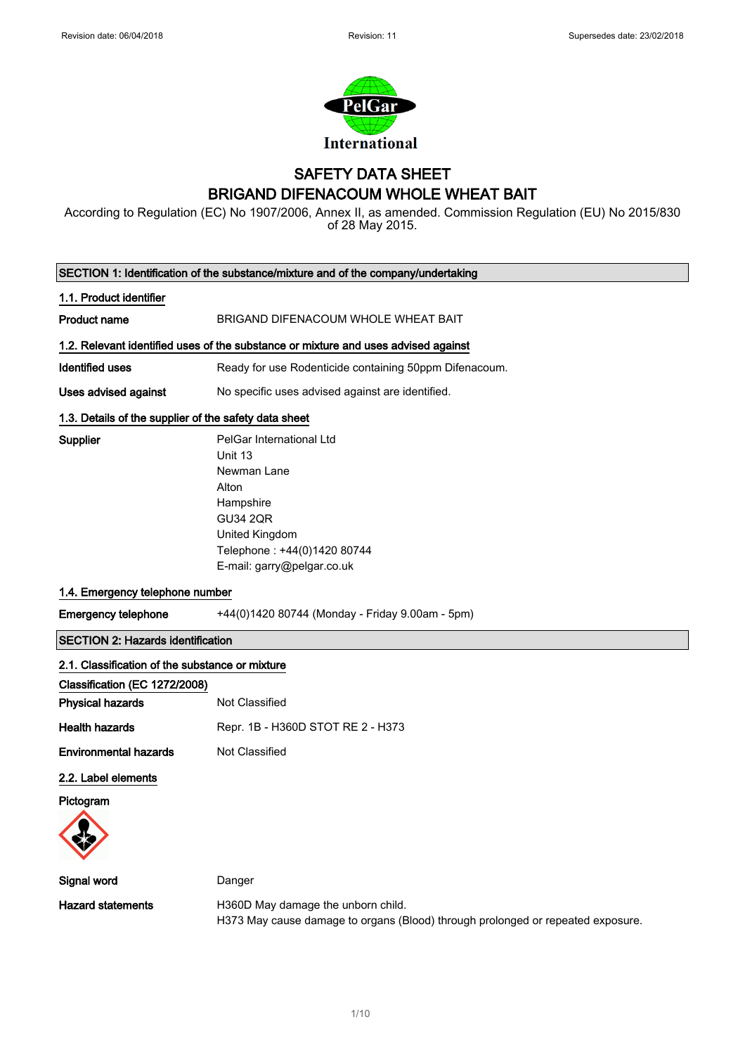

# SAFETY DATA SHEET BRIGAND DIFENACOUM WHOLE WHEAT BAIT

According to Regulation (EC) No 1907/2006, Annex II, as amended. Commission Regulation (EU) No 2015/830 of 28 May 2015.

|                                                       | SECTION 1: Identification of the substance/mixture and of the company/undertaking                                                                                          |
|-------------------------------------------------------|----------------------------------------------------------------------------------------------------------------------------------------------------------------------------|
| 1.1. Product identifier                               |                                                                                                                                                                            |
| <b>Product name</b>                                   | BRIGAND DIFENACOUM WHOLE WHEAT BAIT                                                                                                                                        |
|                                                       | 1.2. Relevant identified uses of the substance or mixture and uses advised against                                                                                         |
| Identified uses                                       | Ready for use Rodenticide containing 50ppm Difenacoum.                                                                                                                     |
| <b>Uses advised against</b>                           | No specific uses advised against are identified.                                                                                                                           |
| 1.3. Details of the supplier of the safety data sheet |                                                                                                                                                                            |
| Supplier                                              | PelGar International Ltd<br>Unit 13<br>Newman Lane<br>Alton<br>Hampshire<br><b>GU34 2QR</b><br>United Kingdom<br>Telephone: +44(0)1420 80744<br>E-mail: garry@pelgar.co.uk |
| 1.4. Emergency telephone number                       |                                                                                                                                                                            |
| <b>Emergency telephone</b>                            | +44(0)1420 80744 (Monday - Friday 9.00am - 5pm)                                                                                                                            |
| <b>SECTION 2: Hazards identification</b>              |                                                                                                                                                                            |
| 2.1. Classification of the substance or mixture       |                                                                                                                                                                            |
| Classification (EC 1272/2008)                         |                                                                                                                                                                            |
| <b>Physical hazards</b>                               | Not Classified                                                                                                                                                             |
| <b>Health hazards</b>                                 | Repr. 1B - H360D STOT RE 2 - H373                                                                                                                                          |
| <b>Environmental hazards</b>                          | Not Classified                                                                                                                                                             |
| 2.2. Label elements<br>Pictogram                      |                                                                                                                                                                            |
| Signal word                                           | Danger                                                                                                                                                                     |
| <b>Hazard statements</b>                              | H360D May damage the unborn child.<br>H373 May cause damage to organs (Blood) through prolonged or repeated exposure.                                                      |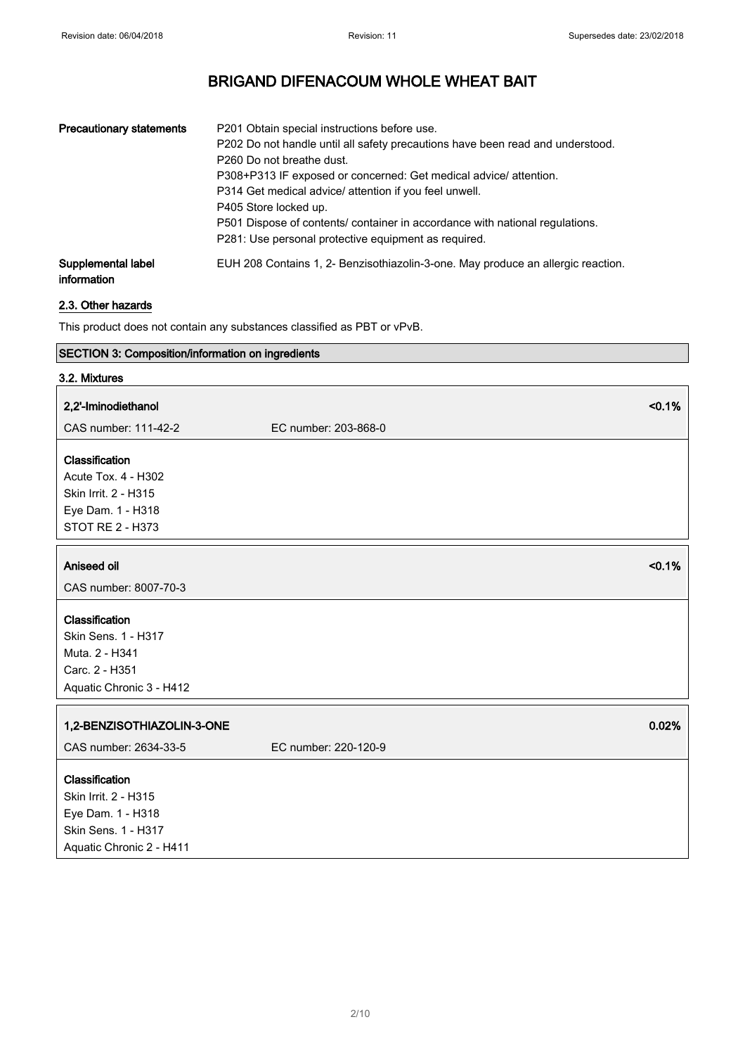| <b>Precautionary statements</b>   | P201 Obtain special instructions before use.<br>P202 Do not handle until all safety precautions have been read and understood.<br>P <sub>260</sub> Do not breathe dust.<br>P308+P313 IF exposed or concerned: Get medical advice/attention.<br>P314 Get medical advice/ attention if you feel unwell.<br>P405 Store locked up.<br>P501 Dispose of contents/ container in accordance with national regulations.<br>P281: Use personal protective equipment as required. |
|-----------------------------------|------------------------------------------------------------------------------------------------------------------------------------------------------------------------------------------------------------------------------------------------------------------------------------------------------------------------------------------------------------------------------------------------------------------------------------------------------------------------|
| Supplemental label<br>information | EUH 208 Contains 1, 2- Benzisothiazolin-3-one. May produce an allergic reaction.                                                                                                                                                                                                                                                                                                                                                                                       |

## 2.3. Other hazards

This product does not contain any substances classified as PBT or vPvB.

## SECTION 3: Composition/information on ingredients

| 3.2. Mixtures                                                                                                  |                               |
|----------------------------------------------------------------------------------------------------------------|-------------------------------|
| 2,2'-Iminodiethanol                                                                                            | < 0.1%                        |
| CAS number: 111-42-2                                                                                           | EC number: 203-868-0          |
| Classification<br><b>Acute Tox. 4 - H302</b><br>Skin Irrit. 2 - H315<br>Eye Dam. 1 - H318<br>STOT RE 2 - H373  |                               |
| Aniseed oil                                                                                                    | < 0.1%                        |
| CAS number: 8007-70-3                                                                                          |                               |
| Classification<br>Skin Sens. 1 - H317<br>Muta. 2 - H341<br>Carc. 2 - H351<br>Aquatic Chronic 3 - H412          |                               |
| 1,2-BENZISOTHIAZOLIN-3-ONE<br>CAS number: 2634-33-5                                                            | 0.02%<br>EC number: 220-120-9 |
| Classification<br>Skin Irrit. 2 - H315<br>Eye Dam. 1 - H318<br>Skin Sens. 1 - H317<br>Aquatic Chronic 2 - H411 |                               |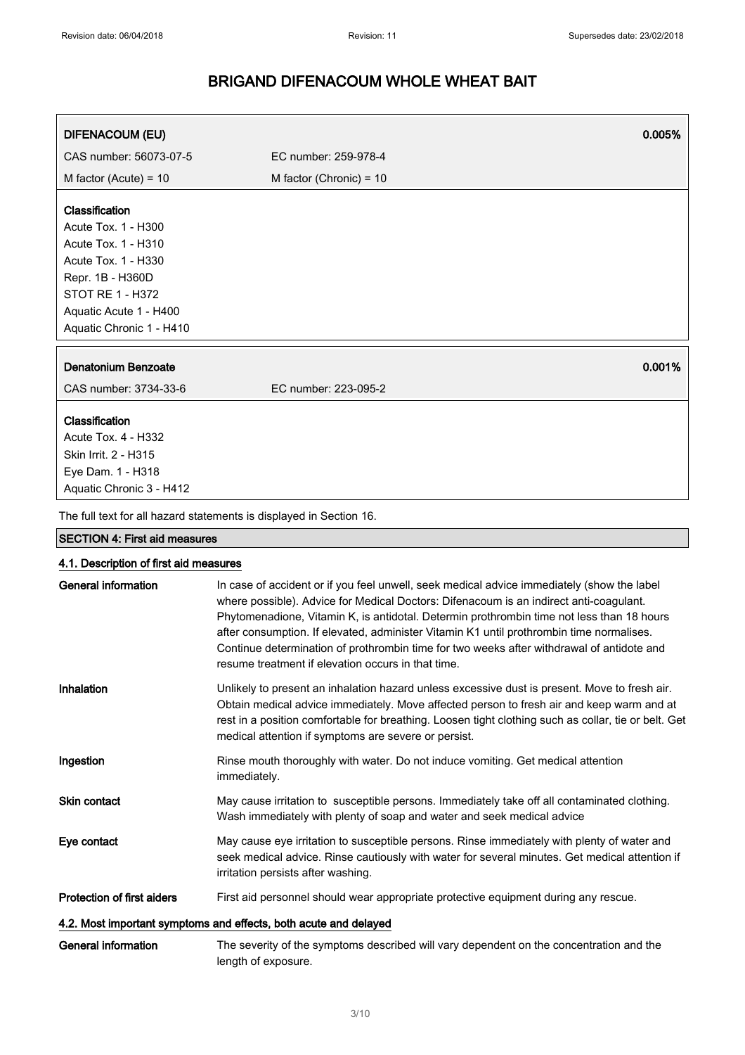| <b>DIFENACOUM (EU)</b>                                                                                                | 0.005%                                                                                                                                                                                                                                                                                                                                                                                                                                                                                                                           |
|-----------------------------------------------------------------------------------------------------------------------|----------------------------------------------------------------------------------------------------------------------------------------------------------------------------------------------------------------------------------------------------------------------------------------------------------------------------------------------------------------------------------------------------------------------------------------------------------------------------------------------------------------------------------|
| CAS number: 56073-07-5                                                                                                | EC number: 259-978-4                                                                                                                                                                                                                                                                                                                                                                                                                                                                                                             |
| M factor (Acute) = $10$                                                                                               | M factor (Chronic) = $10$                                                                                                                                                                                                                                                                                                                                                                                                                                                                                                        |
| Classification<br>Acute Tox. 1 - H300<br>Acute Tox. 1 - H310<br>Acute Tox. 1 - H330                                   |                                                                                                                                                                                                                                                                                                                                                                                                                                                                                                                                  |
| Repr. 1B - H360D                                                                                                      |                                                                                                                                                                                                                                                                                                                                                                                                                                                                                                                                  |
| <b>STOT RE 1 - H372</b>                                                                                               |                                                                                                                                                                                                                                                                                                                                                                                                                                                                                                                                  |
| Aquatic Acute 1 - H400<br>Aquatic Chronic 1 - H410                                                                    |                                                                                                                                                                                                                                                                                                                                                                                                                                                                                                                                  |
|                                                                                                                       |                                                                                                                                                                                                                                                                                                                                                                                                                                                                                                                                  |
| <b>Denatonium Benzoate</b>                                                                                            | 0.001%                                                                                                                                                                                                                                                                                                                                                                                                                                                                                                                           |
| CAS number: 3734-33-6                                                                                                 | EC number: 223-095-2                                                                                                                                                                                                                                                                                                                                                                                                                                                                                                             |
| Classification<br><b>Acute Tox. 4 - H332</b><br>Skin Irrit. 2 - H315<br>Eye Dam. 1 - H318<br>Aquatic Chronic 3 - H412 |                                                                                                                                                                                                                                                                                                                                                                                                                                                                                                                                  |
|                                                                                                                       |                                                                                                                                                                                                                                                                                                                                                                                                                                                                                                                                  |
| <b>SECTION 4: First aid measures</b>                                                                                  | The full text for all hazard statements is displayed in Section 16.                                                                                                                                                                                                                                                                                                                                                                                                                                                              |
|                                                                                                                       |                                                                                                                                                                                                                                                                                                                                                                                                                                                                                                                                  |
| 4.1. Description of first aid measures<br><b>General information</b>                                                  |                                                                                                                                                                                                                                                                                                                                                                                                                                                                                                                                  |
|                                                                                                                       | In case of accident or if you feel unwell, seek medical advice immediately (show the label<br>where possible). Advice for Medical Doctors: Difenacoum is an indirect anti-coagulant.<br>Phytomenadione, Vitamin K, is antidotal. Determin prothrombin time not less than 18 hours<br>after consumption. If elevated, administer Vitamin K1 until prothrombin time normalises.<br>Continue determination of prothrombin time for two weeks after withdrawal of antidote and<br>resume treatment if elevation occurs in that time. |
| Inhalation                                                                                                            | Unlikely to present an inhalation hazard unless excessive dust is present. Move to fresh air.<br>Obtain medical advice immediately. Move affected person to fresh air and keep warm and at<br>rest in a position comfortable for breathing. Loosen tight clothing such as collar, tie or belt. Get<br>medical attention if symptoms are severe or persist.                                                                                                                                                                       |
| Ingestion                                                                                                             | Rinse mouth thoroughly with water. Do not induce vomiting. Get medical attention<br>immediately.                                                                                                                                                                                                                                                                                                                                                                                                                                 |
| Skin contact                                                                                                          | May cause irritation to susceptible persons. Immediately take off all contaminated clothing.<br>Wash immediately with plenty of soap and water and seek medical advice                                                                                                                                                                                                                                                                                                                                                           |
| Eye contact                                                                                                           | May cause eye irritation to susceptible persons. Rinse immediately with plenty of water and<br>seek medical advice. Rinse cautiously with water for several minutes. Get medical attention if<br>irritation persists after washing.                                                                                                                                                                                                                                                                                              |
| <b>Protection of first aiders</b>                                                                                     | First aid personnel should wear appropriate protective equipment during any rescue.                                                                                                                                                                                                                                                                                                                                                                                                                                              |
|                                                                                                                       | 4.2. Most important symptoms and effects, both acute and delayed                                                                                                                                                                                                                                                                                                                                                                                                                                                                 |
|                                                                                                                       |                                                                                                                                                                                                                                                                                                                                                                                                                                                                                                                                  |

General information The severity of the symptoms described will vary dependent on the concentration and the length of exposure.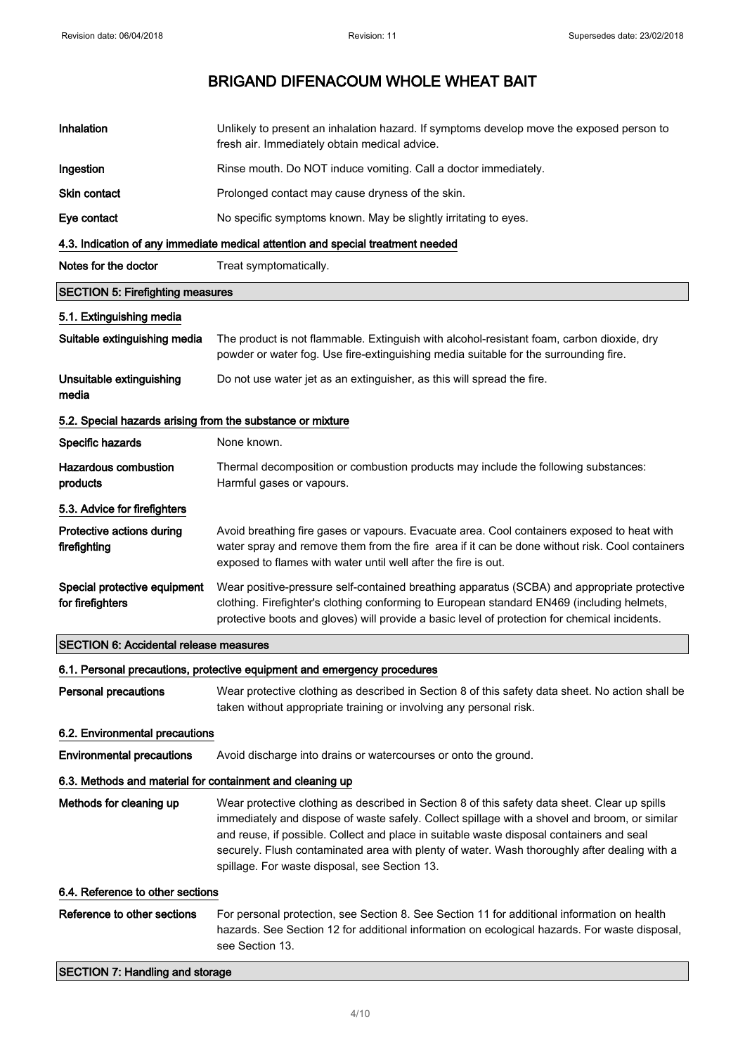| Inhalation                                                               | Unlikely to present an inhalation hazard. If symptoms develop move the exposed person to<br>fresh air. Immediately obtain medical advice.                                                                                                                                                                                                                                                                                                   |  |
|--------------------------------------------------------------------------|---------------------------------------------------------------------------------------------------------------------------------------------------------------------------------------------------------------------------------------------------------------------------------------------------------------------------------------------------------------------------------------------------------------------------------------------|--|
| Ingestion                                                                | Rinse mouth. Do NOT induce vomiting. Call a doctor immediately.                                                                                                                                                                                                                                                                                                                                                                             |  |
| <b>Skin contact</b>                                                      | Prolonged contact may cause dryness of the skin.                                                                                                                                                                                                                                                                                                                                                                                            |  |
| Eye contact                                                              | No specific symptoms known. May be slightly irritating to eyes.                                                                                                                                                                                                                                                                                                                                                                             |  |
|                                                                          | 4.3. Indication of any immediate medical attention and special treatment needed                                                                                                                                                                                                                                                                                                                                                             |  |
| Notes for the doctor                                                     | Treat symptomatically.                                                                                                                                                                                                                                                                                                                                                                                                                      |  |
| <b>SECTION 5: Firefighting measures</b>                                  |                                                                                                                                                                                                                                                                                                                                                                                                                                             |  |
| 5.1. Extinguishing media                                                 |                                                                                                                                                                                                                                                                                                                                                                                                                                             |  |
| Suitable extinguishing media                                             | The product is not flammable. Extinguish with alcohol-resistant foam, carbon dioxide, dry<br>powder or water fog. Use fire-extinguishing media suitable for the surrounding fire.                                                                                                                                                                                                                                                           |  |
| Unsuitable extinguishing<br>media                                        | Do not use water jet as an extinguisher, as this will spread the fire.                                                                                                                                                                                                                                                                                                                                                                      |  |
| 5.2. Special hazards arising from the substance or mixture               |                                                                                                                                                                                                                                                                                                                                                                                                                                             |  |
| Specific hazards                                                         | None known.                                                                                                                                                                                                                                                                                                                                                                                                                                 |  |
| <b>Hazardous combustion</b><br>products                                  | Thermal decomposition or combustion products may include the following substances:<br>Harmful gases or vapours.                                                                                                                                                                                                                                                                                                                             |  |
| 5.3. Advice for firefighters                                             |                                                                                                                                                                                                                                                                                                                                                                                                                                             |  |
| Protective actions during<br>firefighting                                | Avoid breathing fire gases or vapours. Evacuate area. Cool containers exposed to heat with<br>water spray and remove them from the fire area if it can be done without risk. Cool containers<br>exposed to flames with water until well after the fire is out.                                                                                                                                                                              |  |
| Special protective equipment<br>for firefighters                         | Wear positive-pressure self-contained breathing apparatus (SCBA) and appropriate protective<br>clothing. Firefighter's clothing conforming to European standard EN469 (including helmets,<br>protective boots and gloves) will provide a basic level of protection for chemical incidents.                                                                                                                                                  |  |
| <b>SECTION 6: Accidental release measures</b>                            |                                                                                                                                                                                                                                                                                                                                                                                                                                             |  |
| 6.1. Personal precautions, protective equipment and emergency procedures |                                                                                                                                                                                                                                                                                                                                                                                                                                             |  |
| <b>Personal precautions</b>                                              | Wear protective clothing as described in Section 8 of this safety data sheet. No action shall be<br>taken without appropriate training or involving any personal risk.                                                                                                                                                                                                                                                                      |  |
| 6.2. Environmental precautions                                           |                                                                                                                                                                                                                                                                                                                                                                                                                                             |  |
| <b>Environmental precautions</b>                                         | Avoid discharge into drains or watercourses or onto the ground.                                                                                                                                                                                                                                                                                                                                                                             |  |
| 6.3. Methods and material for containment and cleaning up                |                                                                                                                                                                                                                                                                                                                                                                                                                                             |  |
| Methods for cleaning up                                                  | Wear protective clothing as described in Section 8 of this safety data sheet. Clear up spills<br>immediately and dispose of waste safely. Collect spillage with a shovel and broom, or similar<br>and reuse, if possible. Collect and place in suitable waste disposal containers and seal<br>securely. Flush contaminated area with plenty of water. Wash thoroughly after dealing with a<br>spillage. For waste disposal, see Section 13. |  |
| 6.4. Reference to other sections                                         |                                                                                                                                                                                                                                                                                                                                                                                                                                             |  |
| Reference to other sections                                              | For personal protection, see Section 8. See Section 11 for additional information on health<br>hazards. See Section 12 for additional information on ecological hazards. For waste disposal,<br>see Section 13.                                                                                                                                                                                                                             |  |
| <b>SECTION 7: Handling and storage</b>                                   |                                                                                                                                                                                                                                                                                                                                                                                                                                             |  |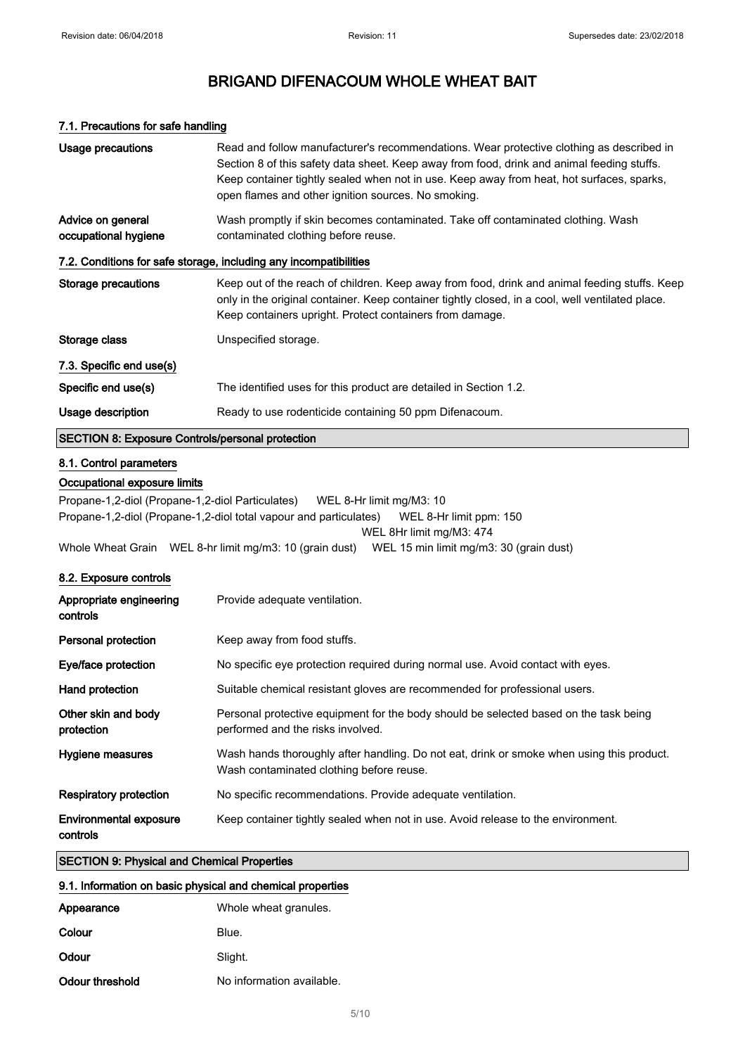### 7.1. Precautions for safe handling

| Usage precautions                                                 | Read and follow manufacturer's recommendations. Wear protective clothing as described in<br>Section 8 of this safety data sheet. Keep away from food, drink and animal feeding stuffs.<br>Keep container tightly sealed when not in use. Keep away from heat, hot surfaces, sparks,<br>open flames and other ignition sources. No smoking. |  |
|-------------------------------------------------------------------|--------------------------------------------------------------------------------------------------------------------------------------------------------------------------------------------------------------------------------------------------------------------------------------------------------------------------------------------|--|
| Advice on general<br>occupational hygiene                         | Wash promptly if skin becomes contaminated. Take off contaminated clothing. Wash<br>contaminated clothing before reuse.                                                                                                                                                                                                                    |  |
| 7.2. Conditions for safe storage, including any incompatibilities |                                                                                                                                                                                                                                                                                                                                            |  |
| Storage precautions                                               | Keep out of the reach of children. Keep away from food, drink and animal feeding stuffs. Keep<br>only in the original container. Keep container tightly closed, in a cool, well ventilated place.<br>Keep containers upright. Protect containers from damage.                                                                              |  |
| Storage class                                                     | Unspecified storage.                                                                                                                                                                                                                                                                                                                       |  |
| 7.3. Specific end use(s)                                          |                                                                                                                                                                                                                                                                                                                                            |  |
| Specific end use(s)                                               | The identified uses for this product are detailed in Section 1.2.                                                                                                                                                                                                                                                                          |  |
| Usage description                                                 | Ready to use rodenticide containing 50 ppm Difenacoum.                                                                                                                                                                                                                                                                                     |  |
| <b>SECTION 8: Exposure Controls/personal protection</b>           |                                                                                                                                                                                                                                                                                                                                            |  |
| 8.1. Control parameters                                           |                                                                                                                                                                                                                                                                                                                                            |  |
| Occupational exposure limits                                      |                                                                                                                                                                                                                                                                                                                                            |  |
| Propane-1,2-diol (Propane-1,2-diol Particulates)                  | WEL 8-Hr limit mg/M3: 10                                                                                                                                                                                                                                                                                                                   |  |
|                                                                   | Propane-1,2-diol (Propane-1,2-diol total vapour and particulates)<br>WEL 8-Hr limit ppm: 150                                                                                                                                                                                                                                               |  |

WEL 8Hr limit mg/M3: 474

Whole Wheat Grain WEL 8-hr limit mg/m3: 10 (grain dust) WEL 15 min limit mg/m3: 30 (grain dust)

### 8.2. Exposure controls

| Appropriate engineering<br>controls       | Provide adequate ventilation.                                                                                                         |
|-------------------------------------------|---------------------------------------------------------------------------------------------------------------------------------------|
| Personal protection                       | Keep away from food stuffs.                                                                                                           |
| Eye/face protection                       | No specific eye protection required during normal use. Avoid contact with eyes.                                                       |
| Hand protection                           | Suitable chemical resistant gloves are recommended for professional users.                                                            |
| Other skin and body<br>protection         | Personal protective equipment for the body should be selected based on the task being<br>performed and the risks involved.            |
| Hygiene measures                          | Wash hands thoroughly after handling. Do not eat, drink or smoke when using this product.<br>Wash contaminated clothing before reuse. |
| Respiratory protection                    | No specific recommendations. Provide adequate ventilation.                                                                            |
| <b>Environmental exposure</b><br>controls | Keep container tightly sealed when not in use. Avoid release to the environment.                                                      |

### SECTION 9: Physical and Chemical Properties

#### 9.1. Information on basic physical and chemical properties

| Appearance      | Whole wheat granules.     |
|-----------------|---------------------------|
| Colour          | Blue.                     |
| Odour           | Slight.                   |
| Odour threshold | No information available. |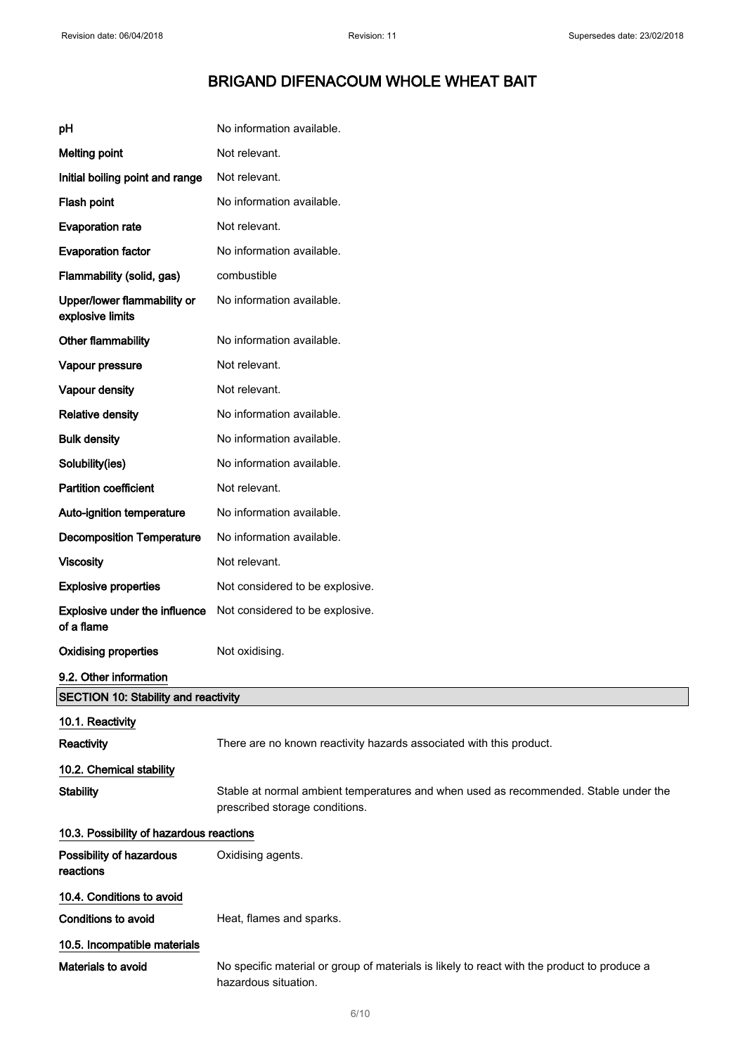# BRIGAND DIFENACOUM WHOLE WHEAT BAIT

| рH                                              | No information available.                                                                                              |
|-------------------------------------------------|------------------------------------------------------------------------------------------------------------------------|
| <b>Melting point</b>                            | Not relevant.                                                                                                          |
| Initial boiling point and range                 | Not relevant.                                                                                                          |
| Flash point                                     | No information available.                                                                                              |
| <b>Evaporation rate</b>                         | Not relevant.                                                                                                          |
| <b>Evaporation factor</b>                       | No information available.                                                                                              |
| Flammability (solid, gas)                       | combustible                                                                                                            |
| Upper/lower flammability or<br>explosive limits | No information available.                                                                                              |
| Other flammability                              | No information available.                                                                                              |
| Vapour pressure                                 | Not relevant.                                                                                                          |
| <b>Vapour density</b>                           | Not relevant.                                                                                                          |
| <b>Relative density</b>                         | No information available.                                                                                              |
| <b>Bulk density</b>                             | No information available.                                                                                              |
| Solubility(ies)                                 | No information available.                                                                                              |
| <b>Partition coefficient</b>                    | Not relevant.                                                                                                          |
| Auto-ignition temperature                       | No information available.                                                                                              |
| <b>Decomposition Temperature</b>                | No information available.                                                                                              |
| <b>Viscosity</b>                                | Not relevant.                                                                                                          |
| <b>Explosive properties</b>                     | Not considered to be explosive.                                                                                        |
| Explosive under the influence<br>of a flame     | Not considered to be explosive.                                                                                        |
| <b>Oxidising properties</b>                     | Not oxidising.                                                                                                         |
| 9.2. Other information                          |                                                                                                                        |
| <b>SECTION 10: Stability and reactivity</b>     |                                                                                                                        |
| 10.1. Reactivity                                |                                                                                                                        |
| Reactivity                                      | There are no known reactivity hazards associated with this product.                                                    |
| 10.2. Chemical stability                        |                                                                                                                        |
| <b>Stability</b>                                | Stable at normal ambient temperatures and when used as recommended. Stable under the<br>prescribed storage conditions. |
| 10.3. Possibility of hazardous reactions        |                                                                                                                        |
| Possibility of hazardous<br>reactions           | Oxidising agents.                                                                                                      |
| 10.4. Conditions to avoid                       |                                                                                                                        |
| <b>Conditions to avoid</b>                      | Heat, flames and sparks.                                                                                               |
| 10.5. Incompatible materials                    |                                                                                                                        |
| Materials to avoid                              | No specific material or group of materials is likely to react with the product to produce a<br>hazardous situation.    |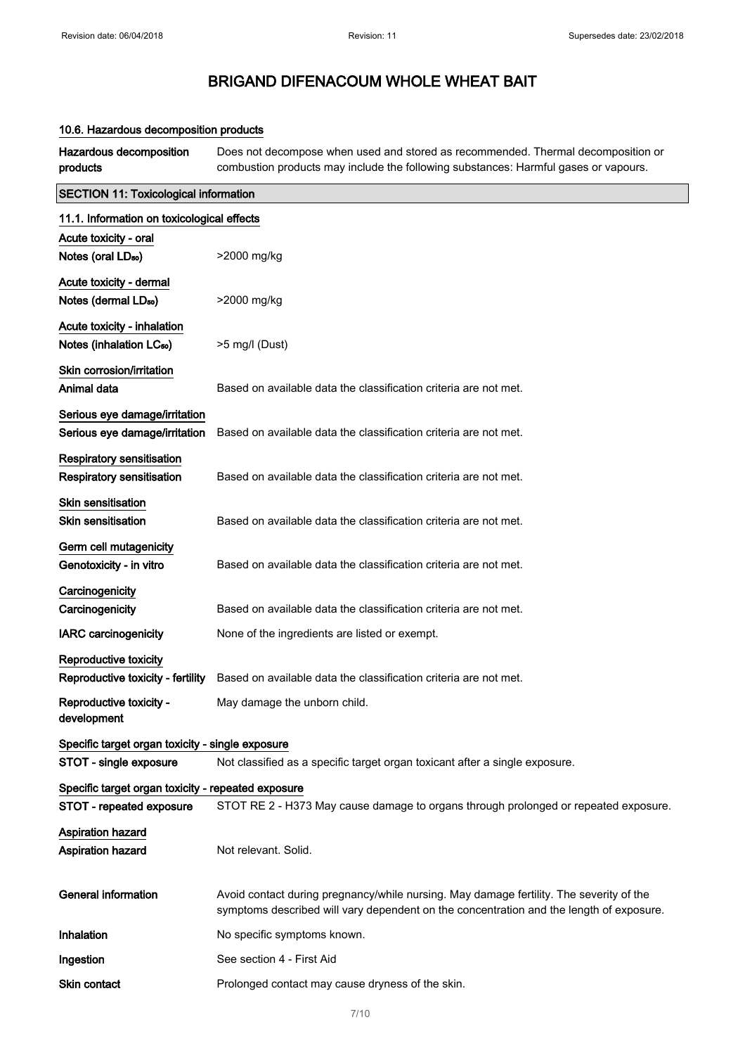### 10.6. Hazardous decomposition products

Hazardous decomposition products Does not decompose when used and stored as recommended. Thermal decomposition or combustion products may include the following substances: Harmful gases or vapours.

| <b>SECTION 11: Toxicological information</b>                        |                                                                                                                                                                                    |  |
|---------------------------------------------------------------------|------------------------------------------------------------------------------------------------------------------------------------------------------------------------------------|--|
| 11.1. Information on toxicological effects                          |                                                                                                                                                                                    |  |
| Acute toxicity - oral                                               |                                                                                                                                                                                    |  |
| Notes (oral LD <sub>50</sub> )                                      | >2000 mg/kg                                                                                                                                                                        |  |
| Acute toxicity - dermal                                             |                                                                                                                                                                                    |  |
| Notes (dermal LD <sub>50</sub> )                                    | >2000 mg/kg                                                                                                                                                                        |  |
| Acute toxicity - inhalation<br>Notes (inhalation LC <sub>50</sub> ) | >5 mg/l (Dust)                                                                                                                                                                     |  |
| Skin corrosion/irritation<br>Animal data                            | Based on available data the classification criteria are not met.                                                                                                                   |  |
| Serious eye damage/irritation                                       |                                                                                                                                                                                    |  |
| Serious eye damage/irritation                                       | Based on available data the classification criteria are not met.                                                                                                                   |  |
| <b>Respiratory sensitisation</b>                                    |                                                                                                                                                                                    |  |
| Respiratory sensitisation                                           | Based on available data the classification criteria are not met.                                                                                                                   |  |
| Skin sensitisation<br><b>Skin sensitisation</b>                     | Based on available data the classification criteria are not met.                                                                                                                   |  |
| Germ cell mutagenicity<br>Genotoxicity - in vitro                   | Based on available data the classification criteria are not met.                                                                                                                   |  |
| Carcinogenicity                                                     |                                                                                                                                                                                    |  |
| Carcinogenicity                                                     | Based on available data the classification criteria are not met.                                                                                                                   |  |
| <b>IARC</b> carcinogenicity                                         | None of the ingredients are listed or exempt.                                                                                                                                      |  |
| <b>Reproductive toxicity</b>                                        |                                                                                                                                                                                    |  |
| Reproductive toxicity - fertility                                   | Based on available data the classification criteria are not met.                                                                                                                   |  |
| Reproductive toxicity -<br>development                              | May damage the unborn child.                                                                                                                                                       |  |
| Specific target organ toxicity - single exposure                    |                                                                                                                                                                                    |  |
| STOT - single exposure                                              | Not classified as a specific target organ toxicant after a single exposure.                                                                                                        |  |
| Specific target organ toxicity - repeated exposure                  |                                                                                                                                                                                    |  |
| STOT - repeated exposure                                            | STOT RE 2 - H373 May cause damage to organs through prolonged or repeated exposure.                                                                                                |  |
| <b>Aspiration hazard</b>                                            |                                                                                                                                                                                    |  |
| Aspiration hazard                                                   | Not relevant. Solid.                                                                                                                                                               |  |
| <b>General information</b>                                          | Avoid contact during pregnancy/while nursing. May damage fertility. The severity of the<br>symptoms described will vary dependent on the concentration and the length of exposure. |  |
| Inhalation                                                          | No specific symptoms known.                                                                                                                                                        |  |
| Ingestion                                                           | See section 4 - First Aid                                                                                                                                                          |  |
| Skin contact                                                        | Prolonged contact may cause dryness of the skin.                                                                                                                                   |  |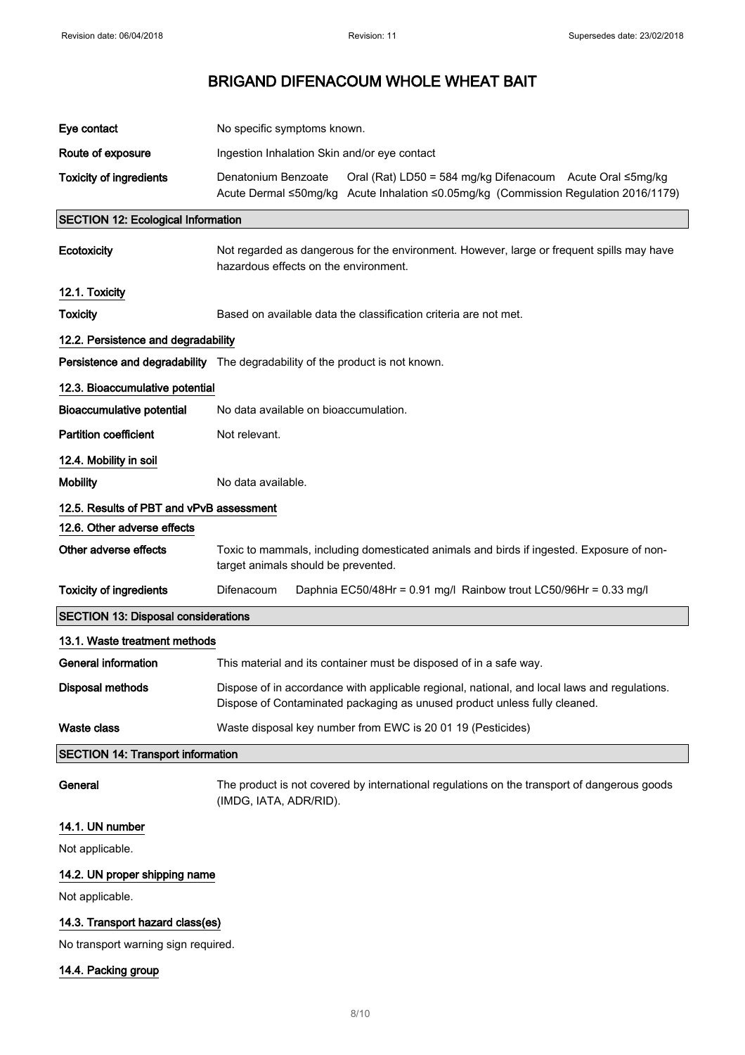| Eye contact                                | No specific symptoms known.                                                                                                                                               |  |
|--------------------------------------------|---------------------------------------------------------------------------------------------------------------------------------------------------------------------------|--|
| Route of exposure                          | Ingestion Inhalation Skin and/or eye contact                                                                                                                              |  |
| <b>Toxicity of ingredients</b>             | Denatonium Benzoate<br>Oral (Rat) LD50 = 584 mg/kg Difenacoum Acute Oral ≤5mg/kg<br>Acute Dermal ≤50mg/kg Acute Inhalation ≤0.05mg/kg (Commission Regulation 2016/1179)   |  |
| <b>SECTION 12: Ecological Information</b>  |                                                                                                                                                                           |  |
| Ecotoxicity                                | Not regarded as dangerous for the environment. However, large or frequent spills may have<br>hazardous effects on the environment.                                        |  |
| 12.1. Toxicity                             |                                                                                                                                                                           |  |
| <b>Toxicity</b>                            | Based on available data the classification criteria are not met.                                                                                                          |  |
| 12.2. Persistence and degradability        |                                                                                                                                                                           |  |
|                                            | Persistence and degradability The degradability of the product is not known.                                                                                              |  |
| 12.3. Bioaccumulative potential            |                                                                                                                                                                           |  |
| <b>Bioaccumulative potential</b>           | No data available on bioaccumulation.                                                                                                                                     |  |
| <b>Partition coefficient</b>               | Not relevant.                                                                                                                                                             |  |
| 12.4. Mobility in soil                     |                                                                                                                                                                           |  |
| <b>Mobility</b>                            | No data available.                                                                                                                                                        |  |
| 12.5. Results of PBT and vPvB assessment   |                                                                                                                                                                           |  |
| 12.6. Other adverse effects                |                                                                                                                                                                           |  |
| Other adverse effects                      | Toxic to mammals, including domesticated animals and birds if ingested. Exposure of non-<br>target animals should be prevented.                                           |  |
| <b>Toxicity of ingredients</b>             | Difenacoum<br>Daphnia EC50/48Hr = 0.91 mg/l Rainbow trout LC50/96Hr = 0.33 mg/l                                                                                           |  |
| <b>SECTION 13: Disposal considerations</b> |                                                                                                                                                                           |  |
| 13.1. Waste treatment methods              |                                                                                                                                                                           |  |
| <b>General information</b>                 | This material and its container must be disposed of in a safe way.                                                                                                        |  |
| <b>Disposal methods</b>                    | Dispose of in accordance with applicable regional, national, and local laws and regulations.<br>Dispose of Contaminated packaging as unused product unless fully cleaned. |  |
| <b>Waste class</b>                         | Waste disposal key number from EWC is 20 01 19 (Pesticides)                                                                                                               |  |
| <b>SECTION 14: Transport information</b>   |                                                                                                                                                                           |  |
| General                                    | The product is not covered by international regulations on the transport of dangerous goods<br>(IMDG, IATA, ADR/RID).                                                     |  |
| 14.1. UN number                            |                                                                                                                                                                           |  |
| Not applicable.                            |                                                                                                                                                                           |  |

# 14.2. UN proper shipping name

Not applicable.

### 14.3. Transport hazard class(es)

No transport warning sign required.

14.4. Packing group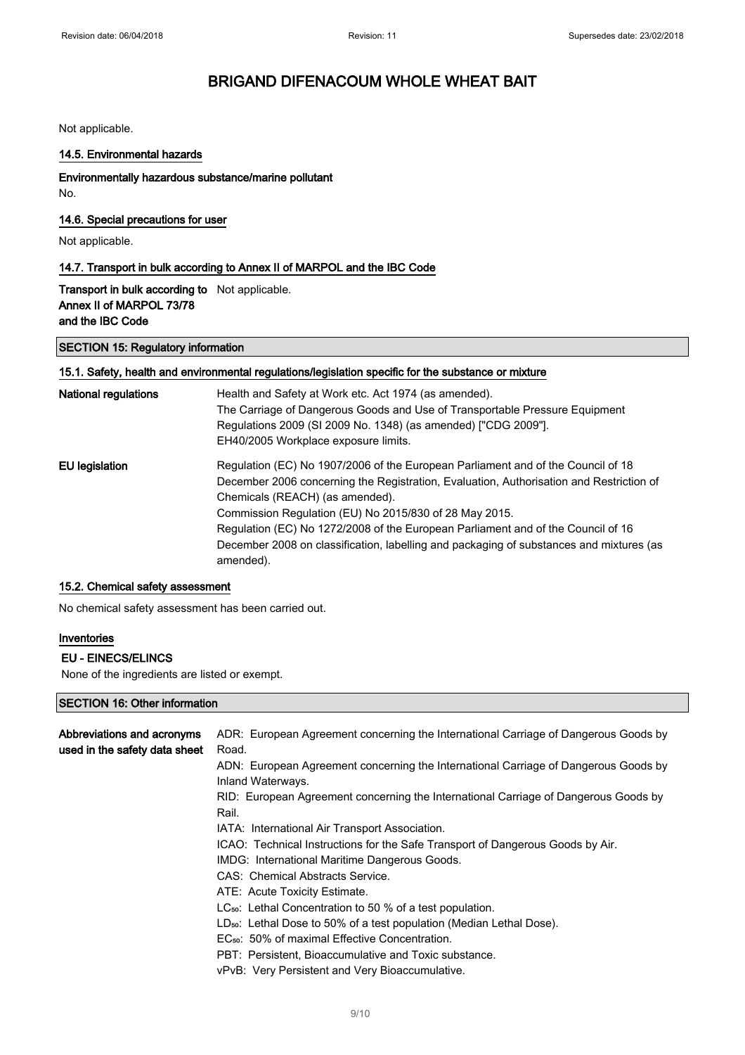Not applicable.

#### 14.5. Environmental hazards

### Environmentally hazardous substance/marine pollutant

No.

### 14.6. Special precautions for user

Not applicable.

### 14.7. Transport in bulk according to Annex II of MARPOL and the IBC Code

Transport in bulk according to Not applicable. Annex II of MARPOL 73/78 and the IBC Code

#### SECTION 15: Regulatory information

#### 15.1. Safety, health and environmental regulations/legislation specific for the substance or mixture

| <b>National regulations</b> | Health and Safety at Work etc. Act 1974 (as amended).<br>The Carriage of Dangerous Goods and Use of Transportable Pressure Equipment<br>Regulations 2009 (SI 2009 No. 1348) (as amended) ["CDG 2009"].<br>EH40/2005 Workplace exposure limits. |
|-----------------------------|------------------------------------------------------------------------------------------------------------------------------------------------------------------------------------------------------------------------------------------------|
| EU legislation              | Regulation (EC) No 1907/2006 of the European Parliament and of the Council of 18<br>December 2006 concerning the Registration, Evaluation, Authorisation and Restriction of<br>Chemicals (REACH) (as amended).                                 |
|                             | Commission Regulation (EU) No 2015/830 of 28 May 2015.                                                                                                                                                                                         |
|                             | Regulation (EC) No 1272/2008 of the European Parliament and of the Council of 16<br>December 2008 on classification, labelling and packaging of substances and mixtures (as<br>amended).                                                       |

## 15.2. Chemical safety assessment

No chemical safety assessment has been carried out.

### Inventories

#### EU - EINECS/ELINCS

None of the ingredients are listed or exempt.

### SECTION 16: Other information

| Abbreviations and acronyms<br>used in the safety data sheet | ADR: European Agreement concerning the International Carriage of Dangerous Goods by<br>Road.             |
|-------------------------------------------------------------|----------------------------------------------------------------------------------------------------------|
|                                                             | ADN: European Agreement concerning the International Carriage of Dangerous Goods by<br>Inland Waterways. |
|                                                             | RID: European Agreement concerning the International Carriage of Dangerous Goods by<br>Rail.             |
|                                                             | IATA: International Air Transport Association.                                                           |
|                                                             | ICAO: Technical Instructions for the Safe Transport of Dangerous Goods by Air.                           |
|                                                             | IMDG: International Maritime Dangerous Goods.                                                            |
|                                                             | CAS: Chemical Abstracts Service.                                                                         |
|                                                             | ATE: Acute Toxicity Estimate.                                                                            |
|                                                             | LC <sub>50</sub> : Lethal Concentration to 50 % of a test population.                                    |
|                                                             | $LD_{50}$ : Lethal Dose to 50% of a test population (Median Lethal Dose).                                |
|                                                             | EC <sub>50</sub> : 50% of maximal Effective Concentration.                                               |
|                                                             | PBT: Persistent, Bioaccumulative and Toxic substance.                                                    |
|                                                             | vPvB: Very Persistent and Very Bioaccumulative.                                                          |